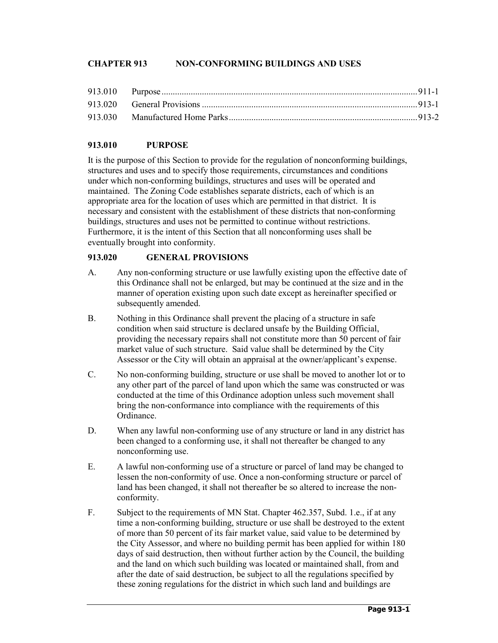## **CHAPTER 913 NON-CONFORMING BUILDINGS AND USES**

## **913.010 PURPOSE**

It is the purpose of this Section to provide for the regulation of nonconforming buildings, structures and uses and to specify those requirements, circumstances and conditions under which non-conforming buildings, structures and uses will be operated and maintained. The Zoning Code establishes separate districts, each of which is an appropriate area for the location of uses which are permitted in that district. It is necessary and consistent with the establishment of these districts that non-conforming buildings, structures and uses not be permitted to continue without restrictions. Furthermore, it is the intent of this Section that all nonconforming uses shall be eventually brought into conformity.

## **913.020 GENERAL PROVISIONS**

- A. Any non-conforming structure or use lawfully existing upon the effective date of this Ordinance shall not be enlarged, but may be continued at the size and in the manner of operation existing upon such date except as hereinafter specified or subsequently amended.
- B. Nothing in this Ordinance shall prevent the placing of a structure in safe condition when said structure is declared unsafe by the Building Official, providing the necessary repairs shall not constitute more than 50 percent of fair market value of such structure. Said value shall be determined by the City Assessor or the City will obtain an appraisal at the owner/applicant's expense.
- C. No non-conforming building, structure or use shall be moved to another lot or to any other part of the parcel of land upon which the same was constructed or was conducted at the time of this Ordinance adoption unless such movement shall bring the non-conformance into compliance with the requirements of this Ordinance.
- D. When any lawful non-conforming use of any structure or land in any district has been changed to a conforming use, it shall not thereafter be changed to any nonconforming use.
- E. A lawful non-conforming use of a structure or parcel of land may be changed to lessen the non-conformity of use. Once a non-conforming structure or parcel of land has been changed, it shall not thereafter be so altered to increase the nonconformity.
- F. Subject to the requirements of MN Stat. Chapter 462.357, Subd. 1.e., if at any time a non-conforming building, structure or use shall be destroyed to the extent of more than 50 percent of its fair market value, said value to be determined by the City Assessor, and where no building permit has been applied for within 180 days of said destruction, then without further action by the Council, the building and the land on which such building was located or maintained shall, from and after the date of said destruction, be subject to all the regulations specified by these zoning regulations for the district in which such land and buildings are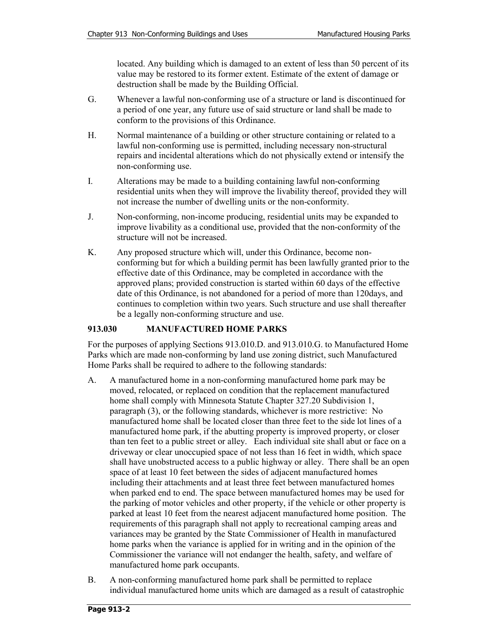located. Any building which is damaged to an extent of less than 50 percent of its value may be restored to its former extent. Estimate of the extent of damage or destruction shall be made by the Building Official.

- G. Whenever a lawful non-conforming use of a structure or land is discontinued for a period of one year, any future use of said structure or land shall be made to conform to the provisions of this Ordinance.
- H. Normal maintenance of a building or other structure containing or related to a lawful non-conforming use is permitted, including necessary non-structural repairs and incidental alterations which do not physically extend or intensify the non-conforming use.
- I. Alterations may be made to a building containing lawful non-conforming residential units when they will improve the livability thereof, provided they will not increase the number of dwelling units or the non-conformity.
- J. Non-conforming, non-income producing, residential units may be expanded to improve livability as a conditional use, provided that the non-conformity of the structure will not be increased.
- K. Any proposed structure which will, under this Ordinance, become nonconforming but for which a building permit has been lawfully granted prior to the effective date of this Ordinance, may be completed in accordance with the approved plans; provided construction is started within 60 days of the effective date of this Ordinance, is not abandoned for a period of more than 120days, and continues to completion within two years. Such structure and use shall thereafter be a legally non-conforming structure and use.

## **913.030 MANUFACTURED HOME PARKS**

For the purposes of applying Sections 913.010.D. and 913.010.G. to Manufactured Home Parks which are made non-conforming by land use zoning district, such Manufactured Home Parks shall be required to adhere to the following standards:

- A. A manufactured home in a non-conforming manufactured home park may be moved, relocated, or replaced on condition that the replacement manufactured home shall comply with Minnesota Statute Chapter 327.20 Subdivision 1, paragraph (3), or the following standards, whichever is more restrictive: No manufactured home shall be located closer than three feet to the side lot lines of a manufactured home park, if the abutting property is improved property, or closer than ten feet to a public street or alley. Each individual site shall abut or face on a driveway or clear unoccupied space of not less than 16 feet in width, which space shall have unobstructed access to a public highway or alley. There shall be an open space of at least 10 feet between the sides of adjacent manufactured homes including their attachments and at least three feet between manufactured homes when parked end to end. The space between manufactured homes may be used for the parking of motor vehicles and other property, if the vehicle or other property is parked at least 10 feet from the nearest adjacent manufactured home position. The requirements of this paragraph shall not apply to recreational camping areas and variances may be granted by the State Commissioner of Health in manufactured home parks when the variance is applied for in writing and in the opinion of the Commissioner the variance will not endanger the health, safety, and welfare of manufactured home park occupants.
- B. A non-conforming manufactured home park shall be permitted to replace individual manufactured home units which are damaged as a result of catastrophic